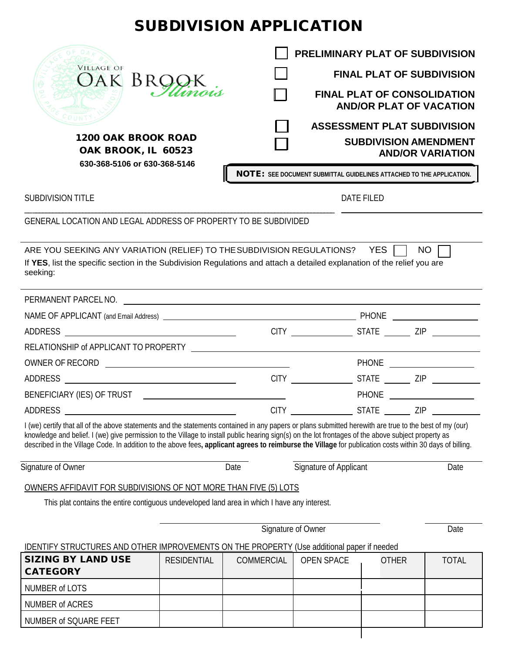## SUBDIVISION APPLICATION





|                                                                                   | PRELIMINARY PLAT OF SUBDIVISION                                             |
|-----------------------------------------------------------------------------------|-----------------------------------------------------------------------------|
| <b>VILLAGE OF</b><br>OAK BROC                                                     | <b>FINAL PLAT OF SUBDIVISION</b>                                            |
|                                                                                   | <b>FINAL PLAT OF CONSOLIDATION</b><br><b>AND/OR PLAT OF VACATION</b>        |
|                                                                                   | <b>ASSESSMENT PLAT SUBDIVISION</b>                                          |
| <b>1200 OAK BROOK ROAD</b><br>OAK BROOK, IL 60523<br>630-368-5106 or 630-368-5146 | <b>SUBDIVISION AMENDMENT</b><br><b>AND/OR VARIATION</b>                     |
|                                                                                   | <b>NOTE:</b> SEE DOCUMENT SUBMITTAL GUIDELINES ATTACHED TO THE APPLICATION. |

SUBDIVISION TITLE

DATE FILED

GENERAL LOCATION AND LEGAL ADDRESS OF PROPERTY TO BE SUBDIVIDED

\_\_ \_\_\_\_\_\_\_\_\_\_\_\_\_\_\_\_\_\_\_\_\_\_\_\_\_\_\_\_\_\_\_\_\_\_\_\_\_\_\_\_\_\_\_\_\_\_\_\_\_\_\_\_\_\_\_\_\_\_\_\_\_\_\_\_\_\_\_\_\_\_\_\_\_\_\_\_\_\_\_\_\_\_\_\_\_\_\_\_\_\_\_

OAK BROOK, IL 60523 OAK BROOK, IL 60523  **630-368-5106 or 630-368-5146 630-368-5106 or 630-368-5146**

| ARE YOU SEEKING ANY VARIATION (RELIEF) TO THE SUBDIVISION REGULATIONS? YES $\Box$ NO $\Box$                              |  |
|--------------------------------------------------------------------------------------------------------------------------|--|
| If YES, list the specific section in the Subdivision Regulations and attach a detailed explanation of the relief you are |  |
| seeking:                                                                                                                 |  |

| PERMANENT PARCEL NO. |                  |              |                             |  |
|----------------------|------------------|--------------|-----------------------------|--|
|                      |                  |              | PHONE _____________________ |  |
|                      |                  |              |                             |  |
|                      |                  |              |                             |  |
|                      |                  |              |                             |  |
|                      | <b>CITY CITY</b> |              | STATE ZIP                   |  |
|                      |                  |              |                             |  |
|                      | <b>CITY</b>      | <b>STATE</b> | <b>ZIP</b>                  |  |

I (we) certify that all of the above statements and the statements contained in any papers or plans submitted herewith are true to the best of my (our) knowledge and belief. I (we) give permission to the Village to install public hearing sign(s) on the lot frontages of the above subject property as described in the Village Code. In addition to the above fees**, applicant agrees to reimburse the Village** for publication costs within 30 days of billing.

Signature of Owner **Date** Date Signature of Applicant Date Date

OWNERS AFFIDAVIT FOR SUBDIVISIONS OF NOT MORE THAN FIVE (5) LOTS

This plat contains the entire contiguous undeveloped land area in which I have any interest.

Signature of Owner Date

IDENTIFY STRUCTURES AND OTHER IMPROVEMENTS ON THE PROPERTY (Use additional paper if needed

| <b>SIZING BY LAND USE</b> | <b>RESIDENTIAL</b> | <b>COMMERCIAL</b> | OPEN SPACE | <b>OTHER</b> | <b>TOTAL</b> |
|---------------------------|--------------------|-------------------|------------|--------------|--------------|
| <b>CATEGORY</b>           |                    |                   |            |              |              |
| NUMBER of LOTS            |                    |                   |            |              |              |
| NUMBER of ACRES           |                    |                   |            |              |              |
| NUMBER of SQUARE FEET     |                    |                   |            |              |              |
|                           |                    |                   |            |              |              |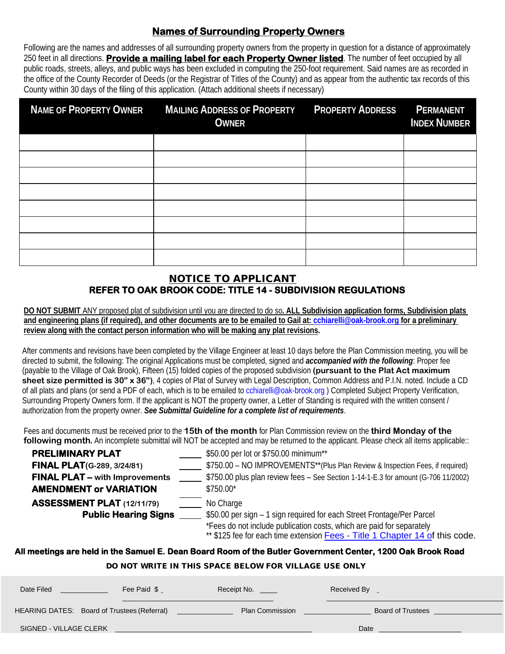#### **Names of Surrounding Property Owners**

Following are the names and addresses of all surrounding property owners from the property in question for a distance of approximately 250 feet in all directions. **Provide a mailing label for each Property Owner listed**. The number of feet occupied by all public roads, streets, alleys, and public ways has been excluded in computing the 250-foot requirement. Said names are as recorded in the office of the County Recorder of Deeds (or the Registrar of Titles of the County) and as appear from the authentic tax records of this County within 30 days of the filing of this application. (Attach additional sheets if necessary)

| <b>NAME OF PROPERTY OWNER</b> | <b>MAILING ADDRESS OF PROPERTY</b><br><b>OWNER</b> | <b>PROPERTY ADDRESS</b> | <b>PERMANENT</b><br><b>INDEX NUMBER</b> |
|-------------------------------|----------------------------------------------------|-------------------------|-----------------------------------------|
|                               |                                                    |                         |                                         |
|                               |                                                    |                         |                                         |
|                               |                                                    |                         |                                         |
|                               |                                                    |                         |                                         |
|                               |                                                    |                         |                                         |
|                               |                                                    |                         |                                         |
|                               |                                                    |                         |                                         |
|                               |                                                    |                         |                                         |

#### NOTICE TO APPLICANT **REFER TO OAK BROOK CODE: TITLE 14 - SUBDIVISION REGULATIONS**

**DO NOT SUBMIT** ANY proposed plat of subdivision until you are directed to do so**. ALL Subdivision application forms, Subdivision plats and engineering plans (if required), and other documents are to be emailed to Gail at: cchiarelli@oak-brook.org for a preliminary review along with the contact person information who will be making any plat revisions.**

After comments and revisions have been completed by the Village Engineer at least 10 days before the Plan Commission meeting, you will be directed to submit, the following: The original Applications must be completed, signed and *accompanied with the following*: Proper fee (payable to the Village of Oak Brook), Fifteen (15) folded copies of the proposed subdivision **(pursuant to the Plat Act maximum sheet size permitted is 30" x 36")**, 4 copies of Plat of Survey with Legal Description, Common Address and P.I.N. noted. Include a CD of all plats and plans (or send a PDF of each, which is to be emailed to cchiarelli@oak-brook.org) Completed Subject Property Verification, Surrounding Property Owners form. If the applicant is NOT the property owner, a Letter of Standing is required with the written consent / authorization from the property owner. *See Submittal Guideline for a complete list of requirements*.

Fees and documents must be received prior to the **15th of the month** for Plan Commission review on the **third Monday of the following month**. An incomplete submittal will NOT be accepted and may be returned to the applicant. Please check all items applicable::

| <b>PRELIMINARY PLAT</b>               | \$50.00 per lot or \$750.00 minimum**                                                                                                                 |
|---------------------------------------|-------------------------------------------------------------------------------------------------------------------------------------------------------|
| <b>FINAL PLAT</b> (G-289, 3/24/81)    | \$750.00 - NO IMPROVEMENTS**(Plus Plan Review & Inspection Fees, if required)                                                                         |
| <b>FINAL PLAT - with Improvements</b> | \$750.00 plus plan review fees - See Section 1-14-1-E.3 for amount (G-706 11/2002)                                                                    |
| <b>AMENDMENT or VARIATION</b>         | \$750.00*                                                                                                                                             |
| <b>ASSESSMENT PLAT (12/11/79)</b>     | No Charge                                                                                                                                             |
| <b>Public Hearing Signs</b>           | \$50.00 per sign - 1 sign required for each Street Frontage/Per Parcel                                                                                |
|                                       | *Fees do not include publication costs, which are paid for separately<br>** \$125 fee for each time extension Fees - Title 1 Chapter 14 of this code. |

#### **All meetings are held in the Samuel E. Dean Board Room of the Butler Government Center, 1200 Oak Brook Road**

DO NOT WRITE IN THIS SPACE BELOW FOR VILLAGE USE ONLY

| P V I I V I - III II E III I III IV VI /IV E PEEV II I VII II EE/IV E VVE VIIE I |             |                        |                          |  |
|----------------------------------------------------------------------------------|-------------|------------------------|--------------------------|--|
| Date Filed                                                                       | Fee Paid \$ | Receipt No.            | Received By              |  |
| HEARING DATES: Board of Trustees (Referral)                                      |             | <b>Plan Commission</b> | <b>Board of Trustees</b> |  |
| SIGNED - VILLAGE CLERK                                                           |             |                        | Date                     |  |
|                                                                                  |             |                        |                          |  |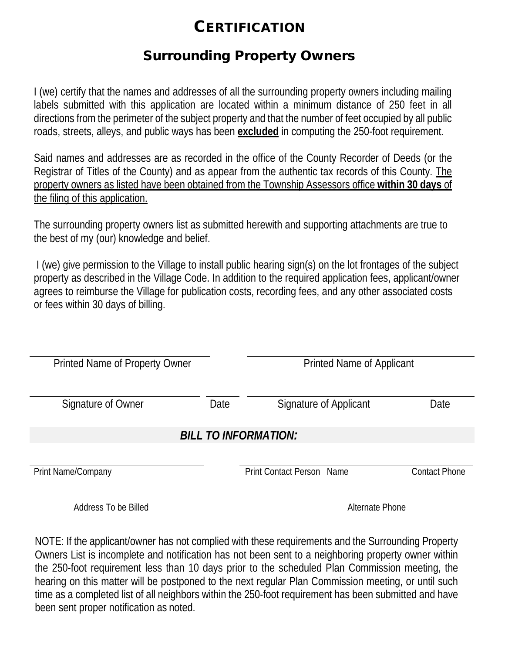### **CERTIFICATION**

### Surrounding Property Owners

I (we) certify that the names and addresses of all the surrounding property owners including mailing labels submitted with this application are located within a minimum distance of 250 feet in all directions from the perimeter of the subject property and that the number of feet occupied by all public roads, streets, alleys, and public ways has been **excluded** in computing the 250-foot requirement.

Said names and addresses are as recorded in the office of the County Recorder of Deeds (or the Registrar of Titles of the County) and as appear from the authentic tax records of this County. The property owners as listed have been obtained from the Township Assessors office **within 30 days** of the filing of this application.

The surrounding property owners list as submitted herewith and supporting attachments are true to the best of my (our) knowledge and belief.

I (we) give permission to the Village to install public hearing sign(s) on the lot frontages of the subject property as described in the Village Code. In addition to the required application fees, applicant/owner agrees to reimburse the Village for publication costs, recording fees, and any other associated costs or fees within 30 days of billing.

| Printed Name of Property Owner |      |                                  | <b>Printed Name of Applicant</b> |  |  |
|--------------------------------|------|----------------------------------|----------------------------------|--|--|
|                                |      |                                  |                                  |  |  |
|                                |      |                                  |                                  |  |  |
| Signature of Owner             | Date | Signature of Applicant           | Date                             |  |  |
|                                |      |                                  |                                  |  |  |
|                                |      |                                  |                                  |  |  |
| <b>BILL TO INFORMATION:</b>    |      |                                  |                                  |  |  |
|                                |      |                                  |                                  |  |  |
|                                |      |                                  |                                  |  |  |
| Print Name/Company             |      | <b>Print Contact Person Name</b> | <b>Contact Phone</b>             |  |  |
|                                |      |                                  |                                  |  |  |
|                                |      |                                  |                                  |  |  |
| Address To be Billed           |      | <b>Alternate Phone</b>           |                                  |  |  |

NOTE: If the applicant/owner has not complied with these requirements and the Surrounding Property Owners List is incomplete and notification has not been sent to a neighboring property owner within the 250-foot requirement less than 10 days prior to the scheduled Plan Commission meeting, the hearing on this matter will be postponed to the next regular Plan Commission meeting, or until such time as a completed list of all neighbors within the 250-foot requirement has been submitted and have been sent proper notification as noted.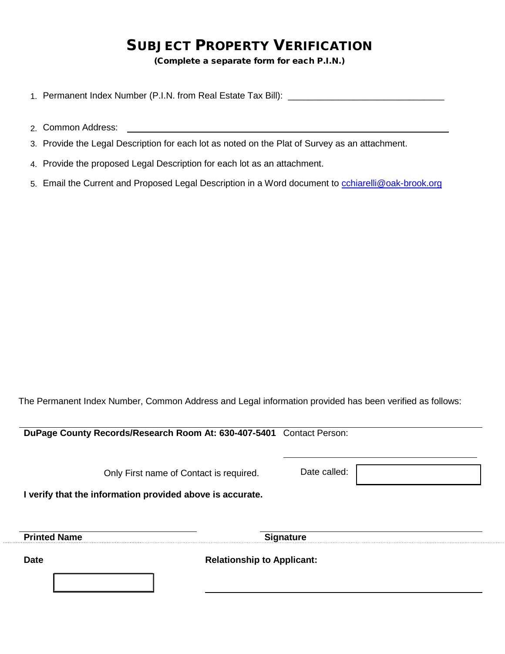### SUBJECT PROPERTY VERIFICATION

(Complete a separate form for each P.I.N.)

- 1. Permanent Index Number (P.I.N. from Real Estate Tax Bill): \_\_\_\_\_\_\_\_\_\_\_\_\_\_\_\_\_\_
- 2. Common Address:
- 3. Provide the Legal Description for each lot as noted on the Plat of Survey as an attachment.
- 4. Provide the proposed Legal Description for each lot as an attachment.
- 5. Email the Current and Proposed Legal Description in a Word document to [cchiarelli@oak-brook.org](mailto:cchiarelli@oak-brook.org)

The Permanent Index Number, Common Address and Legal information provided has been verified as follows:

**DuPage County Records/Research Room At: 630-407-5401** Contact Person: Only First name of Contact is required. Date called: **I verify that the information provided above is accurate. Printed Name Signature Date Date Relationship to Applicant: Relationship to Applicant:**